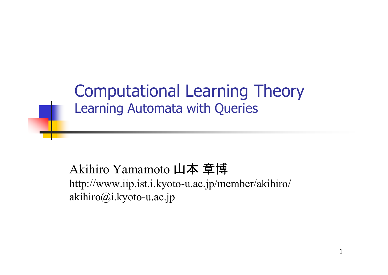#### Computational Learning Theory Learning Automata with Queries

#### Akihiro Yamamoto 山本 章博 http://www.iip.ist.i.kyoto-u.ac.jp/member/akihiro/ akihiro@i.kyoto-u.ac.jp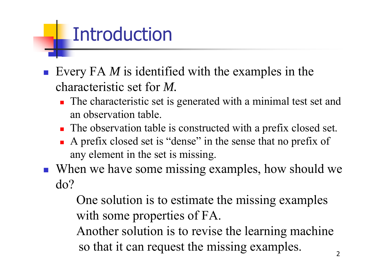### Introduction

- Every FA *M* is identified with the examples in the characteristic set for *M.*
	- **The characteristic set is generated with a minimal test set and** an observation table.
	- The observation table is constructed with a prefix closed set.
	- A prefix closed set is "dense" in the sense that no prefix of any element in the set is missing.
- When we have some missing examples, how should we do?

One solution is to estimate the missing examples with some properties of FA.

Another solution is to revise the learning machine so that it can request the missing examples.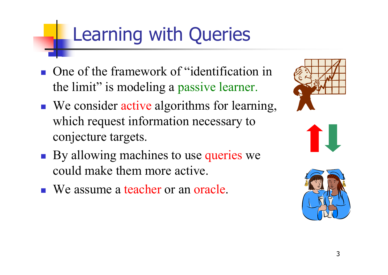### Learning with Queries

- **One of the framework of "identification in** the limit" is modeling a passive learner.
- We consider active algorithms for learning, which request information necessary to conjecture targets.
- By allowing machines to use queries we could make them more active.
- We assume a teacher or an oracle.





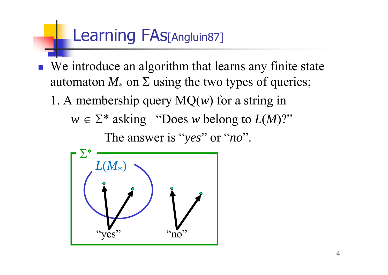#### Learning FAs[Angluin87]

- F. We introduce an algorithm that learns any finite state automaton  $M_{*}$  on  $\Sigma$  using the two types of queries;
	- 1. A membership query  $MQ(w)$  for a string in
		- $w \in \Sigma^*$  asking "Does *w* belong to  $L(M)$ ?"

The answer is "*yes*" or "*no*".

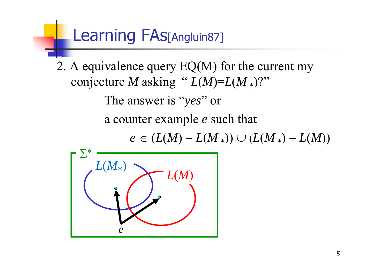#### Learning FAs[Angluin87]

2. A equivalence query EQ(M) for the current my conjecture *M* asking "  $L(M)=L(M*)$ ?"

The answer is "*yes*" or

a counter example *<sup>e</sup>* such that

 $e \in (L(M) - L(M_*) \cup (L(M_*)-L(M))$ 

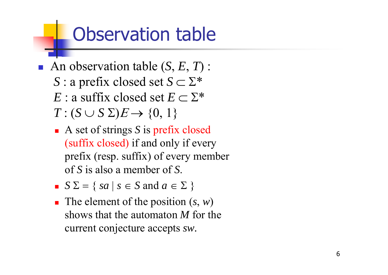#### Observation table

- An observation table (S, E, T) :  $S$  : a prefix closed set  $S$   $\subset$   $\Sigma^*$  $E$  : a suffix closed set  $E \subset \Sigma^*$  $T: (S \cup S \Sigma)E \rightarrow \{0, 1\}$ 
	- A set of strings S is prefix closed (suffix closed) if and only if every prefix (resp. suffix) of every member of *S* is also a member of *S*.
	- $S \Sigma = \{ sa \mid s \in S \text{ and } a \in \Sigma \}$
	- The element of the position  $(s, w)$ shows that the automaton *M* for the current conjecture accepts *sw.*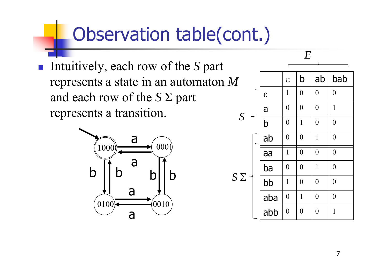#### Observation table(cont.)

 Intuitively, each row of the *S* par<sup>t</sup> represents a state in an automaton *M* and each row of the  $S \Sigma$  part represents a transition.



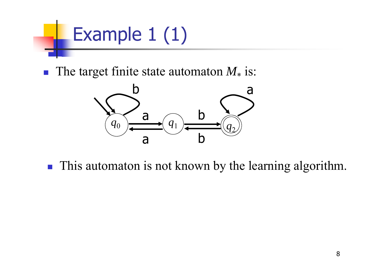

■ The target finite state automaton *M*\* is:



**This automaton is not known by the learning algorithm.**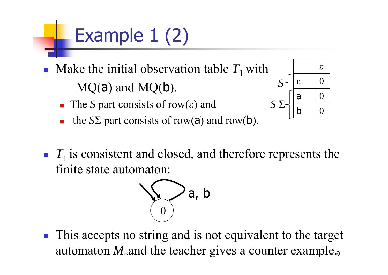# Example 1 (2)

- Ħ Make the initial observation table  $T_1$  with  $MO(a)$  and  $MO(b)$ .
	- The *S* part consists of row( $\varepsilon$ ) and
	- $\overline{\phantom{a}}$ the  $S\Sigma$  part consists of row(a) and row(b).





 $\left\Vert \cdot\right\Vert$  This accepts no string and is not equivalent to the target automaton M<sub>\*</sub>and the teacher gives a counter example.,

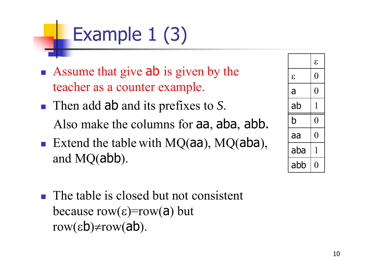## Example 1 (3)

- Assume that give ab is given by the teacher as a counter example.
- Then add ab and its prefixes to S. Also make the columns for aa, aba, abb.
- Extend the table with  $MQ(aa)$ ,  $MQ(aba)$ , and MQ(abb).
- **The table is closed but not consistent** because row( $\epsilon$ )=row( $\bar{a}$ ) but row( $\epsilon$ b) $\neq$ row( $ab$ ).

|              | E   |
|--------------|-----|
| $\mathcal E$ | 0   |
| a            | 0   |
| ab           | 1   |
| b            | ( ) |
| аа           | 0   |
| aba          | 1   |
| abb          |     |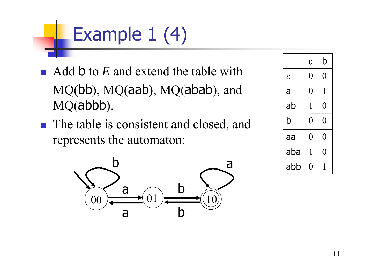## Example 1 (4)

- Add **b** to *E* and extend the table with MQ(bb), MQ(aab), MQ(abab), and MQ(abbb).
- **The table is consistent and closed, and** represents the automaton:



|               | $\epsilon$ | b              |
|---------------|------------|----------------|
| $\mathcal{E}$ | 0          | $\overline{0}$ |
| a             | 0          | 1              |
| ab            | 1          | $\overline{0}$ |
| b             | 0          | $\overline{0}$ |
| aa            | 0          | $\overline{0}$ |
| aba           | 1          | $\overline{0}$ |
| abb           | 1          | 1              |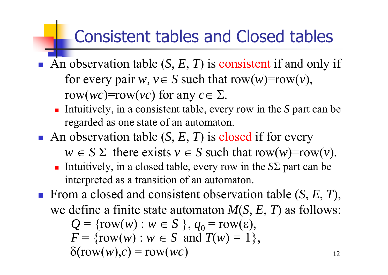#### Consistent tables and Closed tables

- An observation table  $(S, E, T)$  is consistent if and only if for every pair  $w, v \in S$  such that row $(w)$ =row $(v)$ , row(*wc*)=row(*vc*) for any  $c \in \Sigma$ .
	- Intuitively, in a consistent table, every row in the *S* part can be regarded as one state of an automaton.
- An observation table (S, E, T) is closed if for every  $w \in S \Sigma$  there exists  $v \in S$  such that row $(w)$ =row $(v)$ .
	- Intuitively, in a closed table, every row in the  $S\Sigma$  part can be interpreted as a transition of an automaton.
- From a closed and consistent observation table  $(S, E, T)$ , we define a finite state automaton *M* ( *S*, *E*, *T*) as follows:  $Q = \{row(w) : w \in S \}, q_0 = row(\varepsilon),$  $F = \{row(w) : w \in S \text{ and } T(w) = 1\},\$  $\delta(\text{row}(w), c) = \text{row}(wc)$  $\big)$  12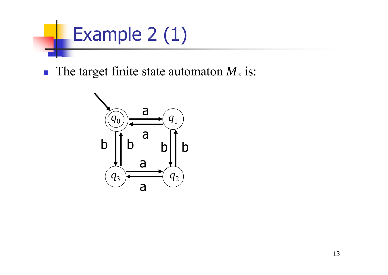

**The target finite state automaton**  $M_*$  **is:** 

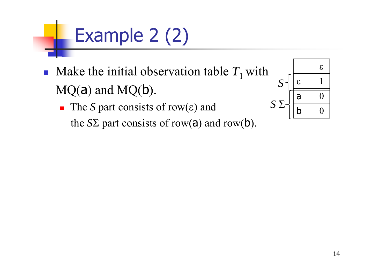# Example 2 (2)

- F • Make the initial observation table  $T_1$  with  $MQ(a)$  and  $MQ(b)$ .
	- The *S* part consists of row( $\varepsilon$ ) and the  $S\Sigma$  part consists of row(a) and row(b).

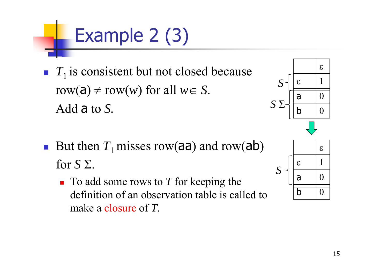# Example 2 (3)

- F  $T_1$  is consistent but not closed because row(a)  $\neq$  row(*w*) for all  $w \in S$ . Add a to *S.*
- F But then  $T_1$  misses row(aa) and row(ab) for  $S \Sigma$ .
	- To add some rows to *T* for keeping the definition of an observation table is called to make a closure of *T*.



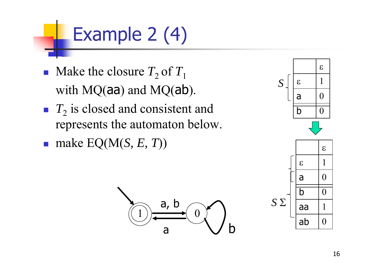## Example 2 (4)

- F • Make the closure  $T_2$  of  $T_1$ with MQ(aa) and MQ(ab).
- $T_2$  is closed and consistent and represents the automaton below.

1

 $\overrightarrow{a}$ ,  $\overrightarrow{b}$  0

a Vb

a

 $\mathcal{L}_{\mathcal{A}}$ make EQ(M(*S, E, T*))

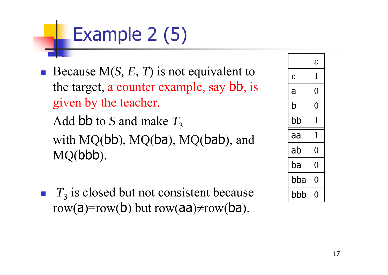## Example 2 (5)

Because  $M(S, E, T)$  is not equivalent to the target, a counter example, say bb, is given by the teacher.

Add  $\bm{\mathsf{bb}}$  to  $S$  and make  $T_3$ 

with MQ(bb), MQ(ba), MQ(bab), and MQ(bbb).

F.  $T_3$  is closed but not consistent because row(a)=row(b) but row(aa)≠row(ba).

|              | $\mathcal E$   |
|--------------|----------------|
| $\mathcal E$ | 1              |
| a            | $\overline{0}$ |
| b            | 0              |
| bb           | 1              |
| aa           | 1              |
| ab           | $\overline{0}$ |
| ba           | $\bm{0}$       |
| bba          | 0              |
| bbb          | ( )            |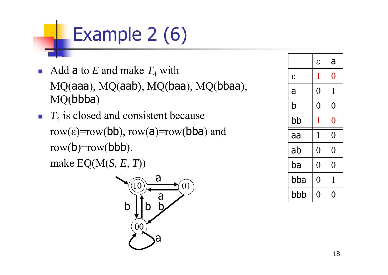## Example 2 (6)

- Add a to E and make  $T_4$  with MQ(aaa), MQ(aab), MQ(baa), MQ(bbaa), MQ(bbba)
- $T_4$  is closed and consistent because  $row(\varepsilon)=row(bb)$ ,  $row(a)=row(bba)$  and  $\text{row}(b) = \text{row}(bbb)$ . make EQ(M(*S, E, T*))

10  $00\,$ b ba a01 ba

|            | $\mathcal{E}$  | a              |
|------------|----------------|----------------|
| $\epsilon$ | $\mathbf{1}$   | $\overline{0}$ |
| a          | $\overline{0}$ | $\mathbf{1}$   |
| b          | $\overline{0}$ | $\overline{0}$ |
| bb         | 1              | $\overline{0}$ |
| aa         | $\mathbf{1}$   | $\overline{0}$ |
| ab         | $\overline{0}$ | $\overline{0}$ |
| ba         | $\overline{0}$ | $\overline{0}$ |
| bba        | $\overline{0}$ | 1              |
| bbb        | 0              | $\mathcal{L}$  |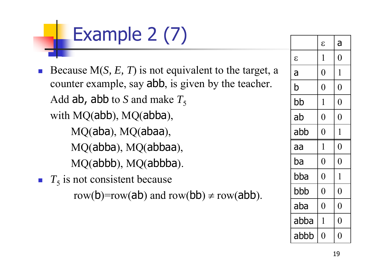## Example 2 (7)

- F. Because M(*S, E, T*) is not equivalent to the target, a counter example, say abb, is given by the teacher. Add ab, abb to *S* and make  $T_5$ with MQ(abb), MQ(abba), MQ(aba), MQ(abaa), MQ(abba), MQ(abbaa), MQ(abbb), MQ(abbba).
- $T_5$  is not consistent because row(b)=row(ab) and row(bb)  $\neq$  row(abb).

|               | $\mathcal{E}$  | a              |
|---------------|----------------|----------------|
| $\mathcal{E}$ | 1              | $\rm 0$        |
| a             | $\overline{0}$ | $\mathbf{1}$   |
| b             | $\rm 0$        | $\rm 0$        |
| bb            | 1              | $\overline{0}$ |
| ab            | $\pmb{0}$      | $\overline{0}$ |
| abb           | $\overline{0}$ | $\mathbf 1$    |
| aa            | 1              | $\rm 0$        |
| ba            | $\overline{0}$ | $\overline{0}$ |
| bba           | $\overline{0}$ | $\mathbf 1$    |
| bbb           | $\overline{0}$ | $\overline{0}$ |
| aba           | $\overline{0}$ | $\overline{0}$ |
| abba          | 1              | $\overline{0}$ |
| abbb          | $\rm 0$        | $\rm 0$        |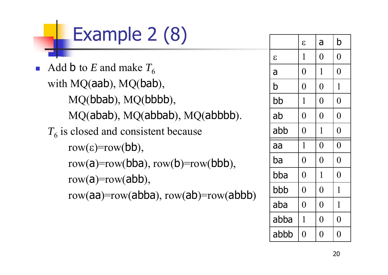## Example 2 (8)

p. Add **b** to *E* and make  $T_6$ with MQ(aab), MQ(bab), MQ(bbab), MQ(bbbb), MQ(abab), MQ(abbab), MQ(abbbb).  $T_6$  is closed and consistent because  $row(\epsilon) = row(bb)$ , row(a)=row(bba),  $row(b)=row(bb)$ , row $(a)$ =row $(abb)$ , row(aa)=row(abba),  $row(ab)$ =row(abbb)

|            | $\epsilon$     | a              | b              |
|------------|----------------|----------------|----------------|
| $\epsilon$ | $\mathbf 1$    | $\overline{0}$ | $\overline{0}$ |
| a          | $\overline{0}$ | $\mathbf 1$    | $\overline{0}$ |
| b          | $\overline{0}$ | $\overline{0}$ | $\mathbf{1}$   |
| bb         | $\mathbf{1}$   | $\overline{0}$ | $\overline{0}$ |
| ab         | $\overline{0}$ | $\overline{0}$ | $\overline{0}$ |
| abb        | $\overline{0}$ | 1              | $\overline{0}$ |
| aa         | $\mathbf{1}$   | $\overline{0}$ | $\overline{0}$ |
| ba         | $\overline{0}$ | $\overline{0}$ | $\overline{0}$ |
| bba        | $\overline{0}$ | 1              | $\overline{0}$ |
| bbb        | $\overline{0}$ | $\overline{0}$ | $\mathbf{1}$   |
| aba        | $\overline{0}$ | $\overline{0}$ | $\mathbf 1$    |
| abba       | $\mathbf 1$    | $\overline{0}$ | $\overline{0}$ |
| abbb       | $\overline{0}$ | $\overline{0}$ | $\overline{0}$ |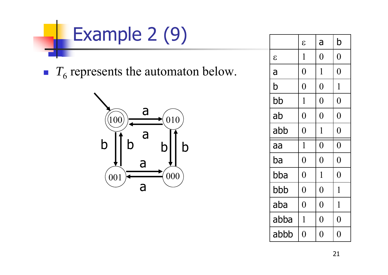

 $T_6$  represents the automaton below.



|               | $\mathcal{E}$  | a              | b              |
|---------------|----------------|----------------|----------------|
| $\mathcal{E}$ | $\mathbf 1$    | $\overline{0}$ | $\overline{0}$ |
| a             | $\overline{0}$ | $\mathbf{1}$   | $\overline{0}$ |
| b             | $\overline{0}$ | $\overline{0}$ | $\mathbf{1}$   |
| bb            | $\mathbf{1}$   | $\overline{0}$ | $\overline{0}$ |
| ab            | $\overline{0}$ | $\overline{0}$ | $\overline{0}$ |
| abb           | $\overline{0}$ | $\mathbf{1}$   | $\overline{0}$ |
| aa            | $\mathbf{1}$   | $\overline{0}$ | $\overline{0}$ |
| ba            | $\overline{0}$ | $\overline{0}$ | $\overline{0}$ |
| bba           | $\overline{0}$ | $\mathbf{1}$   | $\overline{0}$ |
| bbb           | $\overline{0}$ | $\overline{0}$ | $\mathbf{1}$   |
| aba           | $\overline{0}$ | $\overline{0}$ | $\mathbf{1}$   |
| abba          | $\mathbf{1}$   | $\overline{0}$ | $\overline{0}$ |
| abbb          | $\overline{0}$ | $\overline{0}$ | $\overline{0}$ |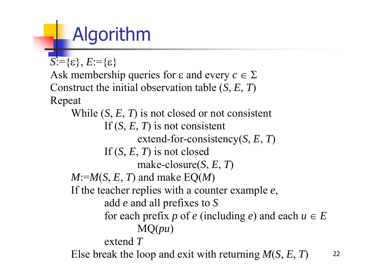## Algorithm

 $S:=\{\varepsilon\}, E:=\{\varepsilon\}$ 

Ask membership queries for  $\varepsilon$  and every  $c \in \Sigma$ Construct the initial observation table (*S*, *E*, *T*) Repeat

While (*S*, *E*, *T*) is not closed or not consistent If (*S*, *E*, *T*) is not consistent extend-for-consistency(*S*, *E*, *T*) If (*S*, *E*, *T*) is not closed make-closure(*S*, *E*, *T*)  $M:=M(S, E, T)$  and make  $EQ(M)$ If the teacher replies with a counter example *<sup>e</sup>*, add *e* and all prefixes to *S* for each prefix p of e (including e) and each  $u \in E$ MQ(*pu*) extend *T* Else break the loop and exit with returning *M*(*S*, *E*, *T*) <sup>22</sup>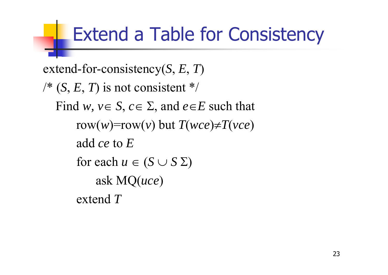#### Extend a Table for Consistency

```
extend-for-consistency(
S, 
E, 
T)
\sqrt{*} (S, E, T) is not consistent */
  Find w, v \in S, c \in \Sigma, and e \in E such that
       row(w) = row(v) but T(wce) \neq T(vee)add ce to 
Efor each u \in (S \cup S \Sigma)ask MQ(uce
)
       extend T
```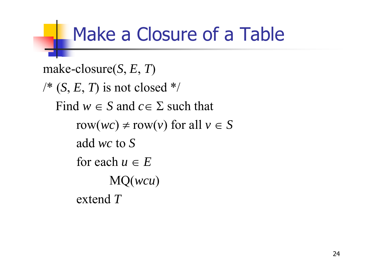#### Make a Closure of a Table

```
make-closure(
S, 
E, 
T)
\sqrt{*} (S, E, T) is not closed */
  Find w \in S and c \in \Sigma such that
       row(wc) \neq row(v) for all v \in Sadd wc to 
Sfor each u \in EMQ(wcu
)
       extend 
T
```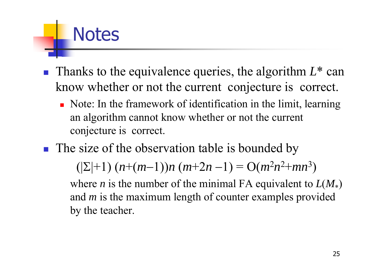#### ■ Thanks to the equivalence queries, the algorithm  $L^*$  can know whether or not the current conjecture is correct.

- Note: In the framework of identification in the limit, learning an algorithm cannot know whether or not the current conjecture is correct.
- **The size of the observation table is bounded by**

**Notes** 

 $((\Sigma+1) (n+(m-1))n (m+2n-1) = O(m^2n^2+mn^3)$ 

where *n* is the number of the minimal FA equivalent to  $L(M_*)$ and *m* is the maximum length of counter examples provided by the teacher.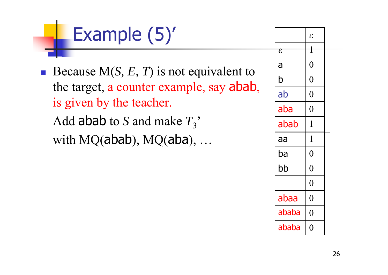## Example (5)'

Because  $M(S, E, T)$  is not equivalent to the target, a counter example, say abab, is given by the teacher. Add abab to *S* and make  $T_3$ <sup>\*</sup> with MQ(abab), MQ(aba), ...

|            | $\epsilon$     |
|------------|----------------|
| $\epsilon$ | 1              |
| a          | $\overline{0}$ |
| b          | $\overline{0}$ |
| ab         | $\overline{0}$ |
| aba        | $\overline{0}$ |
| abab       | 1              |
|            |                |
| aa         | $\mathbf 1$    |
| ba         | $\overline{0}$ |
| bb         | $\overline{0}$ |
|            | $\overline{0}$ |
| abaa       | $\overline{0}$ |
| ababa      | $\overline{0}$ |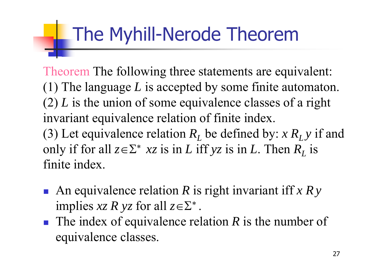#### The Myhill-Nerode Theorem

Theorem The following three statements are equivalent: (1) The language *L* is accepted by some finite automaton. (2) *L* is the union of some equivalence classes of a right invariant equivalence relation of finite index. (3) Let equivalence relation  $R_L$  be defined by:  $x R_L y$  if and only if for all  $z \in \Sigma^*$  xz is in L iff yz is in L. Then  $R_L$  is finite index.

- An equivalence relation R is right invariant iff *x Ry* implies  $xz R yz$  for all  $z \in \Sigma^*$ .
- The index of equivalence relation R is the number of equivalence classes.